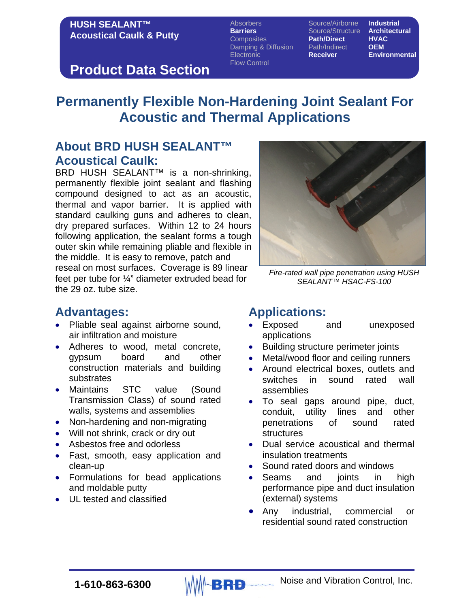#### **HUSH SEALANT™ Acoustical Caulk & Putty**

Absorbers **Source/Airborne Industrial**<br> **Barriers** Source/Structure **Architectural Barriers** Source/Structure **Archite**<br>Composites **Path/Direct HVAC** Composites **Path/Direct HVAC** Damping & Diffusion Path/Indire<br>Electronic **Receiver** Flow Control

**Environmental** 

# **Product Data Section**

# **Permanently Flexible Non-Hardening Joint Sealant For Acoustic and Thermal Applications**

### **About BRD HUSH SEALANT™ Acoustical Caulk:**

BRD HUSH SEALANT™ is a non-shrinking, permanently flexible joint sealant and flashing compound designed to act as an acoustic, thermal and vapor barrier. It is applied with standard caulking guns and adheres to clean, dry prepared surfaces. Within 12 to 24 hours following application, the sealant forms a tough outer skin while remaining pliable and flexible in the middle. It is easy to remove, patch and reseal on most surfaces. Coverage is 89 linear feet per tube for ¼" diameter extruded bead for the 29 oz. tube size.



*Fire-rated wall pipe penetration using HUSH SEALANT™ HSAC-FS-100*

### **Advantages:**

- Pliable seal against airborne sound, air infiltration and moisture
- Adheres to wood, metal concrete, gypsum board and other construction materials and building substrates
- Maintains STC value (Sound Transmission Class) of sound rated walls, systems and assemblies
- Non-hardening and non-migrating
- Will not shrink, crack or dry out
- Asbestos free and odorless
- Fast, smooth, easy application and clean-up
- Formulations for bead applications and moldable putty
- UL tested and classified

# **Applications:**

- and unexposed applications
- Building structure perimeter joints
- Metal/wood floor and ceiling runners
- Around electrical boxes, outlets and switches in sound rated wall assemblies
- To seal gaps around pipe, duct, conduit, utility lines and other penetrations of sound rated structures
- Dual service acoustical and thermal insulation treatments
- Sound rated doors and windows
- Seams and joints in high performance pipe and duct insulation (external) systems
- Any industrial, commercial or residential sound rated construction

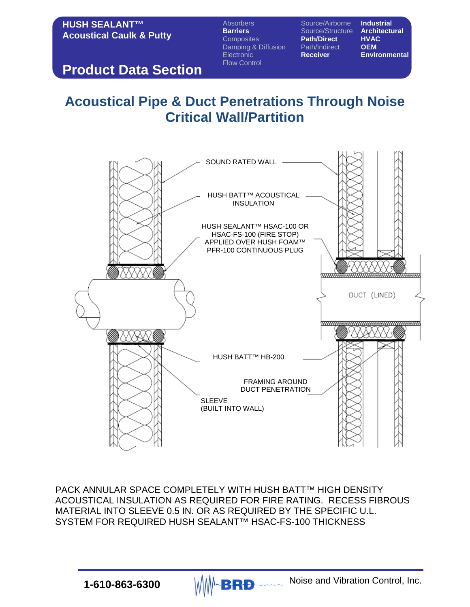### **HUSH SEALANT™ Acoustical Caulk & Putty**

Absorbers **Source/Airborne Industrial**<br> **Barriers** Source/Structure **Architectural** Composites **Path/Direct HVAC** Damping & Diffusion Path/Indire<br>Electronic **Receiver** Flow Control

**Bource/Structure Archite**<br> **Path/Direct** HVAC

**Environmental** 

# **Product Data Section**

# **Acoustical Pipe & Duct Penetrations Through Noise Critical Wall/Partition**



PACK ANNULAR SPACE COMPLETELY WITH HUSH BATT™ HIGH DENSITY ACOUSTICAL INSULATION AS REQUIRED FOR FIRE RATING. RECESS FIBROUS MATERIAL INTO SLEEVE 0.5 IN. OR AS REQUIRED BY THE SPECIFIC U.L. SYSTEM FOR REQUIRED HUSH SEALANT™ HSAC-FS-100 THICKNESS

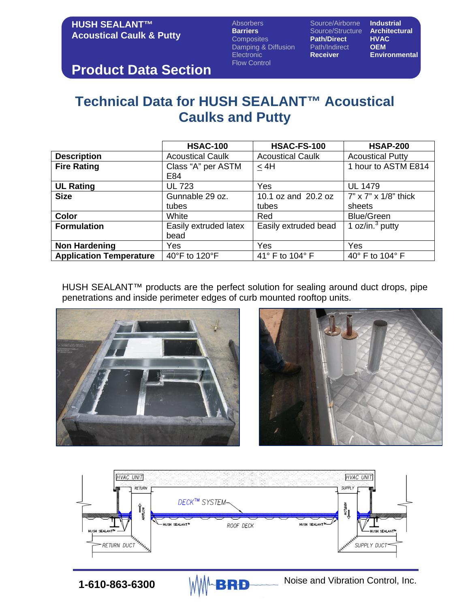### **HUSH SEALANT™ Acoustical Caulk & Putty**

Absorbers **Source/Airborne Industrial**<br> **Barriers** Source/Structure **Architectural Barriers** Source/Structure **Architecture**<br> **Composites Path/Direct HVAC** Damping & Diffusion Path/Indire<br>Electronic **Receiver** Flow Control

**Path/Direct HVAC**<br>Path/Indirect **OEM** 

**Environmental** 

# **Product Data Section**

# **Technical Data for HUSH SEALANT™ Acoustical Caulks and Putty**

|                                | <b>HSAC-100</b>         | <b>HSAC-FS-100</b>      | <b>HSAP-200</b>                         |
|--------------------------------|-------------------------|-------------------------|-----------------------------------------|
| <b>Description</b>             | <b>Acoustical Caulk</b> | <b>Acoustical Caulk</b> | <b>Acoustical Putty</b>                 |
| <b>Fire Rating</b>             | Class "A" per ASTM      | < 4H                    | 1 hour to ASTM E814                     |
|                                | E84                     |                         |                                         |
| <b>UL Rating</b>               | <b>UL 723</b>           | Yes                     | <b>UL 1479</b>                          |
| <b>Size</b>                    | Gunnable 29 oz.         | 10.1 oz and 20.2 oz     | $7" \times 7" \times 1/8"$ thick        |
|                                | tubes                   | tubes                   | sheets                                  |
| <b>Color</b>                   | White                   | Red                     | <b>Blue/Green</b>                       |
| <b>Formulation</b>             | Easily extruded latex   | Easily extruded bead    | $\frac{1}{2}$ oz/in. <sup>3</sup> putty |
|                                | bead                    |                         |                                         |
| <b>Non Hardening</b>           | Yes                     | Yes                     | Yes                                     |
| <b>Application Temperature</b> | 40°F to 120°F           | 41° F to 104° F         | 40° F to 104° F                         |

HUSH SEALANT™ products are the perfect solution for sealing around duct drops, pipe penetrations and inside perimeter edges of curb mounted rooftop units.





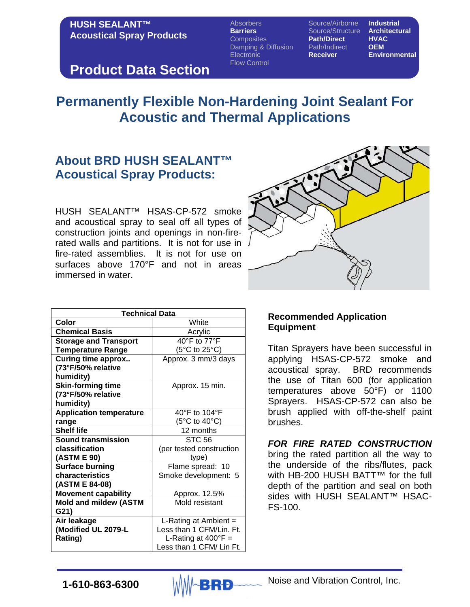### **HUSH SEALANT™ Acoustical Spray Products**

Absorbers Source/Airborne **Industrial Barriers** Source/Structure **Architecture**<br>Composites **Path/Direct HVAC** Composites **Path/Direct HVAC** Damping & Diffusion Path/Indire<br>Electronic **Receiver** Electronic **Receiver Environmental** Flow Control

### **Product Data Section**

# **Permanently Flexible Non-Hardening Joint Sealant For Acoustic and Thermal Applications**

### **About BRD HUSH SEALANT™ Acoustical Spray Products:**

HUSH SEALANT™ HSAS-CP-572 smoke and acoustical spray to seal off all types of construction joints and openings in non-firerated walls and partitions. It is not for use in fire-rated assemblies. It is not for use on surfaces above 170°F and not in areas immersed in water.



| Technical Data                 |                              |  |  |
|--------------------------------|------------------------------|--|--|
| Color                          | White                        |  |  |
| <b>Chemical Basis</b>          | Acrylic                      |  |  |
| <b>Storage and Transport</b>   | 40°F to 77°F                 |  |  |
| <b>Temperature Range</b>       | (5°C to 25°C)                |  |  |
| <b>Curing time approx</b>      | Approx. 3 mm/3 days          |  |  |
| (73°F/50% relative             |                              |  |  |
| humidity)                      |                              |  |  |
| <b>Skin-forming time</b>       | Approx. 15 min.              |  |  |
| (73°F/50% relative             |                              |  |  |
| humidity)                      |                              |  |  |
| <b>Application temperature</b> | 40°F to 104°F                |  |  |
| range                          | (5°C to 40°C)                |  |  |
| <b>Shelf life</b>              | 12 months                    |  |  |
| <b>Sound transmission</b>      | <b>STC 56</b>                |  |  |
| classification                 | (per tested construction     |  |  |
| (ASTM E 90)                    | type)                        |  |  |
| <b>Surface burning</b>         | Flame spread: 10             |  |  |
| characteristics                | Smoke development: 5         |  |  |
| (ASTM E 84-08)                 |                              |  |  |
| <b>Movement capability</b>     | Approx. 12.5%                |  |  |
| <b>Mold and mildew (ASTM</b>   | Mold resistant               |  |  |
| G21)                           |                              |  |  |
| Air leakage                    | L-Rating at Ambient $=$      |  |  |
| (Modified UL 2079-L            | Less than 1 CFM/Lin. Ft.     |  |  |
| Rating)                        | L-Rating at $400^{\circ}F =$ |  |  |
|                                | Less than 1 CFM/ Lin Ft.     |  |  |

#### **Recommended Application Equipment**

Titan Sprayers have been successful in applying HSAS-CP-572 smoke and acoustical spray. BRD recommends the use of Titan 600 (for application temperatures above 50°F) or 1100 Sprayers. HSAS-CP-572 can also be brush applied with off-the-shelf paint brushes.

*FOR FIRE RATED CONSTRUCTION* bring the rated partition all the way to the underside of the ribs/flutes, pack with HB-200 HUSH BATT™ for the full depth of the partition and seal on both sides with HUSH SEALANT™ HSAC-FS-100.